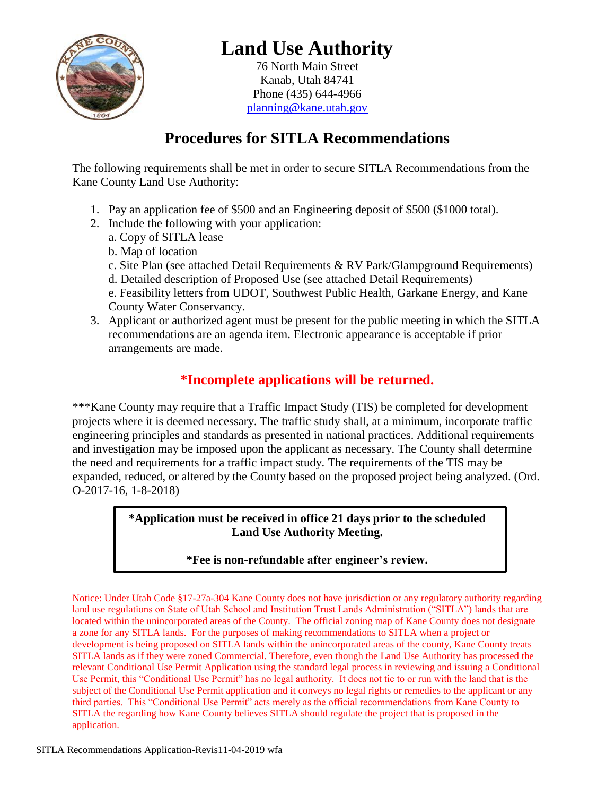

# **Land Use Authority**

76 North Main Street Kanab, Utah 84741 Phone (435) 644-4966 [planning@kane.utah.gov](mailto:planning@kane.utah.gov)

## **Procedures for SITLA Recommendations**

The following requirements shall be met in order to secure SITLA Recommendations from the Kane County Land Use Authority:

- 1. Pay an application fee of \$500 and an Engineering deposit of \$500 (\$1000 total).
- 2. Include the following with your application:
	- a. Copy of SITLA lease
	- b. Map of location
	- c. Site Plan (see attached Detail Requirements & RV Park/Glampground Requirements)
	- d. Detailed description of Proposed Use (see attached Detail Requirements)
	- e. Feasibility letters from UDOT, Southwest Public Health, Garkane Energy, and Kane County Water Conservancy.
- 3. Applicant or authorized agent must be present for the public meeting in which the SITLA recommendations are an agenda item. Electronic appearance is acceptable if prior arrangements are made.

### **\*Incomplete applications will be returned.**

\*\*\*Kane County may require that a Traffic Impact Study (TIS) be completed for development projects where it is deemed necessary. The traffic study shall, at a minimum, incorporate traffic engineering principles and standards as presented in national practices. Additional requirements and investigation may be imposed upon the applicant as necessary. The County shall determine the need and requirements for a traffic impact study. The requirements of the TIS may be expanded, reduced, or altered by the County based on the proposed project being analyzed. (Ord. O-2017-16, 1-8-2018)

#### **\*Application must be received in office 21 days prior to the scheduled Land Use Authority Meeting.**

#### **\*Fee is non-refundable after engineer's review.**

Notice: Under Utah Code §17-27a-304 Kane County does not have jurisdiction or any regulatory authority regarding land use regulations on State of Utah School and Institution Trust Lands Administration ("SITLA") lands that are located within the unincorporated areas of the County. The official zoning map of Kane County does not designate a zone for any SITLA lands. For the purposes of making recommendations to SITLA when a project or development is being proposed on SITLA lands within the unincorporated areas of the county, Kane County treats SITLA lands as if they were zoned Commercial. Therefore, even though the Land Use Authority has processed the relevant Conditional Use Permit Application using the standard legal process in reviewing and issuing a Conditional Use Permit, this "Conditional Use Permit" has no legal authority. It does not tie to or run with the land that is the subject of the Conditional Use Permit application and it conveys no legal rights or remedies to the applicant or any third parties. This "Conditional Use Permit" acts merely as the official recommendations from Kane County to SITLA the regarding how Kane County believes SITLA should regulate the project that is proposed in the application.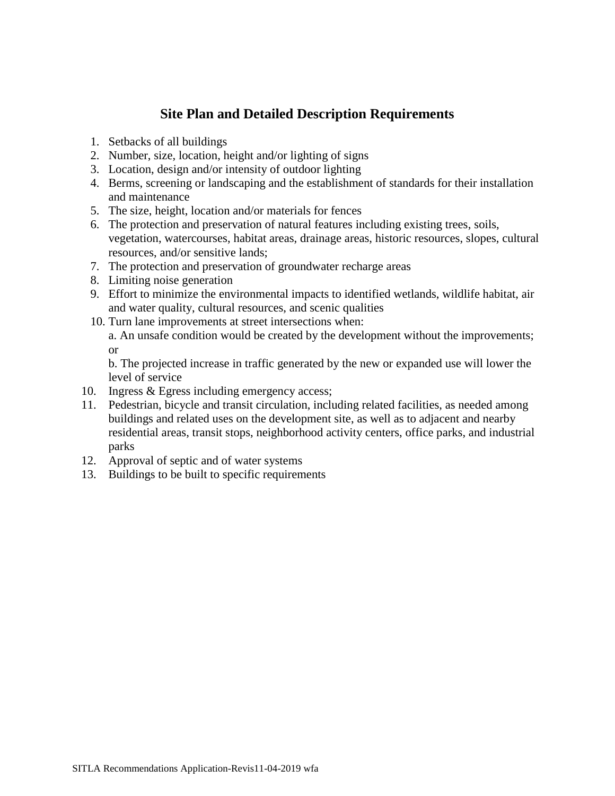#### **Site Plan and Detailed Description Requirements**

- 1. Setbacks of all buildings
- 2. Number, size, location, height and/or lighting of signs
- 3. Location, design and/or intensity of outdoor lighting
- 4. Berms, screening or landscaping and the establishment of standards for their installation and maintenance
- 5. The size, height, location and/or materials for fences
- 6. The protection and preservation of natural features including existing trees, soils, vegetation, watercourses, habitat areas, drainage areas, historic resources, slopes, cultural resources, and/or sensitive lands;
- 7. The protection and preservation of groundwater recharge areas
- 8. Limiting noise generation
- 9. Effort to minimize the environmental impacts to identified wetlands, wildlife habitat, air and water quality, cultural resources, and scenic qualities
- 10. Turn lane improvements at street intersections when: a. An unsafe condition would be created by the development without the improvements;

or

b. The projected increase in traffic generated by the new or expanded use will lower the level of service

- 10. Ingress & Egress including emergency access;
- 11. Pedestrian, bicycle and transit circulation, including related facilities, as needed among buildings and related uses on the development site, as well as to adjacent and nearby residential areas, transit stops, neighborhood activity centers, office parks, and industrial parks
- 12. Approval of septic and of water systems
- 13. Buildings to be built to specific requirements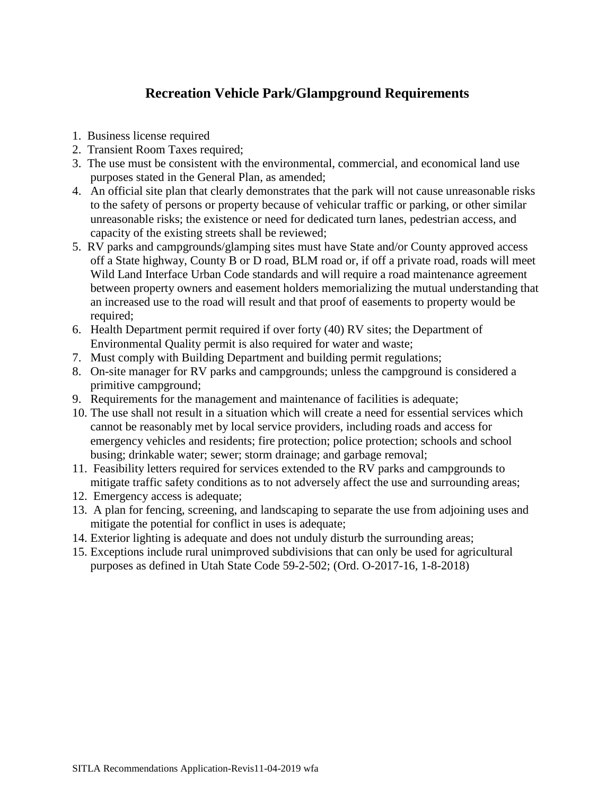### **Recreation Vehicle Park/Glampground Requirements**

- 1. Business license required
- 2. Transient Room Taxes required;
- 3. The use must be consistent with the environmental, commercial, and economical land use purposes stated in the General Plan, as amended;
- 4. An official site plan that clearly demonstrates that the park will not cause unreasonable risks to the safety of persons or property because of vehicular traffic or parking, or other similar unreasonable risks; the existence or need for dedicated turn lanes, pedestrian access, and capacity of the existing streets shall be reviewed;
- 5. RV parks and campgrounds/glamping sites must have State and/or County approved access off a State highway, County B or D road, BLM road or, if off a private road, roads will meet Wild Land Interface Urban Code standards and will require a road maintenance agreement between property owners and easement holders memorializing the mutual understanding that an increased use to the road will result and that proof of easements to property would be required;
- 6. Health Department permit required if over forty (40) RV sites; the Department of Environmental Quality permit is also required for water and waste;
- 7. Must comply with Building Department and building permit regulations;
- 8. On-site manager for RV parks and campgrounds; unless the campground is considered a primitive campground;
- 9. Requirements for the management and maintenance of facilities is adequate;
- 10. The use shall not result in a situation which will create a need for essential services which cannot be reasonably met by local service providers, including roads and access for emergency vehicles and residents; fire protection; police protection; schools and school busing; drinkable water; sewer; storm drainage; and garbage removal;
- 11. Feasibility letters required for services extended to the RV parks and campgrounds to mitigate traffic safety conditions as to not adversely affect the use and surrounding areas;
- 12. Emergency access is adequate;
- 13. A plan for fencing, screening, and landscaping to separate the use from adjoining uses and mitigate the potential for conflict in uses is adequate;
- 14. Exterior lighting is adequate and does not unduly disturb the surrounding areas;
- 15. Exceptions include rural unimproved subdivisions that can only be used for agricultural purposes as defined in Utah State Code 59-2-502; (Ord. O-2017-16, 1-8-2018)